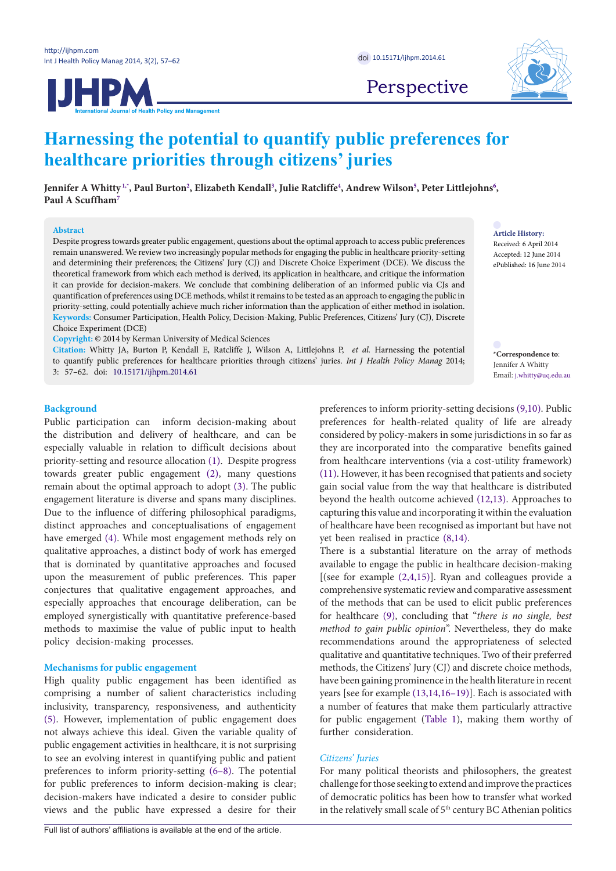



Perspective

# **Harnessing the potential to quantify public preferences for healthcare priorities through citizens' juries**

**Jennifer A Whitty [1](#page-3-0)[,\\*](#page-0-0) , Paul Burto[n2](#page-3-1) , Elizabeth Kendal[l3](#page-3-2) , Julie Ratcliffe[4](#page-3-3) , Andrew Wilson[5](#page-3-4) , Peter Littlejohns[6](#page-3-5) , Paul A Scuffha[m7](#page-3-6)**

# **Abstract**

Despite progress towards greater public engagement, questions about the optimal approach to access public preferences remain unanswered. We review two increasingly popular methods for engaging the public in healthcare priority-setting and determining their preferences; the Citizens' Jury (CJ) and Discrete Choice Experiment (DCE). We discuss the theoretical framework from which each method is derived, its application in healthcare, and critique the information it can provide for decision-makers. We conclude that combining deliberation of an informed public via CJs and quantification of preferences using DCE methods, whilst it remains to be tested as an approach to engaging the public in priority-setting, could potentially achieve much richer information than the application of either method in isolation. **Keywords:** Consumer Participation, Health Policy, Decision-Making, Public Preferences, Citizens' Jury (CJ), Discrete Choice Experiment (DCE)

**Copyright:** © 2014 by Kerman University of Medical Sciences

**Citation:** Whitty JA, Burton P, Kendall E, Ratcliffe J, Wilson A, Littlejohns P, *et al.* Harnessing the potential to quantify public preferences for healthcare priorities through citizens' juries. *Int J Health Policy Manag* 2014;

3: 57–62. doi: [10.15171/ijhpm.2014.61](http://dx.doi.org/10.15171/ijhpm.2014.61)

## **Background**

Public participation can inform decision-making about the distribution and delivery of healthcare, and can be especially valuable in relation to difficult decisions about priority-setting and resource allocation ([1\)](#page-3-0). Despite progress towards greater public engagement [\(2\)](#page-3-7), many questions remain about the optimal approach to adopt [\(3](#page-3-8)). The public engagement literature is diverse and spans many disciplines. Due to the influence of differing philosophical paradigms, distinct approaches and conceptualisations of engagement have emerged ([4\)](#page-3-9). While most engagement methods rely on qualitative approaches, a distinct body of work has emerged that is dominated by quantitative approaches and focused upon the measurement of public preferences. This paper conjectures that qualitative engagement approaches, and especially approaches that encourage deliberation, can be employed synergistically with quantitative preference-based methods to maximise the value of public input to health policy decision-making processes.

## **Mechanisms for public engagement**

High quality public engagement has been identified as comprising a number of salient characteristics including inclusivity, transparency, responsiveness, and authenticity ([5\)](#page-4-0). However, implementation of public engagement does not always achieve this ideal. Given the variable quality of public engagement activities in healthcare, it is not surprising to see an evolving interest in quantifying public and patient preferences to inform priority-setting ([6–](#page-4-1)[8\)](#page-4-2). The potential for public preferences to inform decision-making is clear; decision-makers have indicated a desire to consider public views and the public have expressed a desire for their

**Article History:** Received: 6 April 2014

Accepted: 12 June 2014 ePublished: 16 June 2014

<span id="page-0-0"></span>**\*Correspondence to**: Jennifer A Whitty Email: j.whitty@uq.edu.au

preferences to inform priority-setting decisions ([9,](#page-4-3)[10](#page-4-4)). Public preferences for health-related quality of life are already considered by policy-makers in some jurisdictions in so far as they are incorporated into the comparative benefits gained from healthcare interventions (via a cost-utility framework) [\(11](#page-4-5)). However, it has been recognised that patients and society gain social value from the way that healthcare is distributed beyond the health outcome achieved [\(12](#page-4-6)[,13\)](#page-4-7). Approaches to capturing this value and incorporating it within the evaluation of healthcare have been recognised as important but have not yet been realised in practice ([8,](#page-4-2)[14](#page-4-8)).

There is a substantial literature on the array of methods available to engage the public in healthcare decision-making [(see for example  $(2,4,15)$  $(2,4,15)$  $(2,4,15)$  $(2,4,15)$  $(2,4,15)$  $(2,4,15)$  $(2,4,15)$ ]. Ryan and colleagues provide a comprehensive systematic review and comparative assessment of the methods that can be used to elicit public preferences for healthcare ([9](#page-4-3)), concluding that "*there is no single, best method to gain public opinion*". Nevertheless, they do make recommendations around the appropriateness of selected qualitative and quantitative techniques. Two of their preferred methods, the Citizens' Jury (CJ) and discrete choice methods, have been gaining prominence in the health literature in recent years [see for example [\(13,](#page-4-7)[14,](#page-4-8)[16](#page-4-10)–[19](#page-4-11))]. Each is associated with a number of features that make them particularly attractive for public engagement (Table 1), making them worthy of further consideration.

#### *Citizens' Juries*

For many political theorists and philosophers, the greatest challenge for those seeking to extend and improve the practices of democratic politics has been how to transfer what worked in the relatively small scale of 5<sup>th</sup> century BC Athenian politics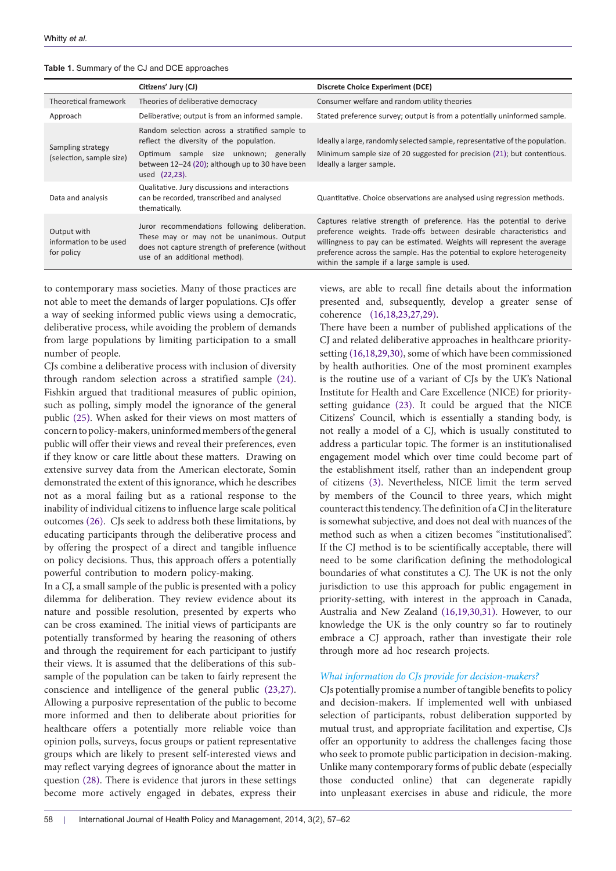|                                                     | Citizens' Jury (CJ)                                                                                                                                                             | Discrete Choice Experiment (DCE)                                                                                                                                                                                                                                                                                                                     |
|-----------------------------------------------------|---------------------------------------------------------------------------------------------------------------------------------------------------------------------------------|------------------------------------------------------------------------------------------------------------------------------------------------------------------------------------------------------------------------------------------------------------------------------------------------------------------------------------------------------|
| Theoretical framework                               | Theories of deliberative democracy                                                                                                                                              | Consumer welfare and random utility theories                                                                                                                                                                                                                                                                                                         |
| Approach                                            | Deliberative; output is from an informed sample.                                                                                                                                | Stated preference survey; output is from a potentially uninformed sample.                                                                                                                                                                                                                                                                            |
| Sampling strategy<br>(selection, sample size)       | Random selection across a stratified sample to<br>reflect the diversity of the population.<br>Optimum sample size unknown; generally                                            | Ideally a large, randomly selected sample, representative of the population.<br>Minimum sample size of 20 suggested for precision (21); but contentious.                                                                                                                                                                                             |
|                                                     | between 12-24 (20); although up to 30 have been<br>used (22,23).                                                                                                                | Ideally a larger sample.                                                                                                                                                                                                                                                                                                                             |
| Data and analysis                                   | Qualitative. Jury discussions and interactions<br>can be recorded, transcribed and analysed<br>thematically.                                                                    | Quantitative. Choice observations are analysed using regression methods.                                                                                                                                                                                                                                                                             |
| Output with<br>information to be used<br>for policy | Juror recommendations following deliberation.<br>These may or may not be unanimous. Output<br>does not capture strength of preference (without<br>use of an additional method). | Captures relative strength of preference. Has the potential to derive<br>preference weights. Trade-offs between desirable characteristics and<br>willingness to pay can be estimated. Weights will represent the average<br>preference across the sample. Has the potential to explore heterogeneity<br>within the sample if a large sample is used. |

#### **Table 1.** Summary of the CJ and DCE approaches

to contemporary mass societies. Many of those practices are not able to meet the demands of larger populations. CJs offer a way of seeking informed public views using a democratic, deliberative process, while avoiding the problem of demands from large populations by limiting participation to a small number of people.

CJs combine a deliberative process with inclusion of diversity through random selection across a stratified sample ([24\)](#page-4-12). Fishkin argued that traditional measures of public opinion, such as polling, simply model the ignorance of the general public [\(25\)](#page-4-13). When asked for their views on most matters of concern to policy-makers, uninformed members of the general public will offer their views and reveal their preferences, even if they know or care little about these matters. Drawing on extensive survey data from the American electorate, Somin demonstrated the extent of this ignorance, which he describes not as a moral failing but as a rational response to the inability of individual citizens to influence large scale political outcomes ([26](#page-4-14)). CJs seek to address both these limitations, by educating participants through the deliberative process and by offering the prospect of a direct and tangible influence on policy decisions. Thus, this approach offers a potentially powerful contribution to modern policy-making.

In a CJ, a small sample of the public is presented with a policy dilemma for deliberation. They review evidence about its nature and possible resolution, presented by experts who can be cross examined. The initial views of participants are potentially transformed by hearing the reasoning of others and through the requirement for each participant to justify their views. It is assumed that the deliberations of this subsample of the population can be taken to fairly represent the conscience and intelligence of the general public [\(23,](#page-4-15)[27\)](#page-4-16). Allowing a purposive representation of the public to become more informed and then to deliberate about priorities for healthcare offers a potentially more reliable voice than opinion polls, surveys, focus groups or patient representative groups which are likely to present self-interested views and may reflect varying degrees of ignorance about the matter in question [\(28\)](#page-4-17). There is evidence that jurors in these settings become more actively engaged in debates, express their views, are able to recall fine details about the information presented and, subsequently, develop a greater sense of coherence (16,[18,](#page-4-18)[23](#page-4-15),[27](#page-4-16),[29](#page-4-19)).

There have been a number of published applications of the CJ and related deliberative approaches in healthcare prioritysetting (16[,18,](#page-4-18)[29](#page-4-19),[30](#page-4-20)), some of which have been commissioned by health authorities. One of the most prominent examples is the routine use of a variant of CJs by the UK's National Institute for Health and Care Excellence (NICE) for prioritysetting guidance [\(23](#page-4-15)). It could be argued that the NICE Citizens' Council, which is essentially a standing body, is not really a model of a CJ, which is usually constituted to address a particular topic. The former is an institutionalised engagement model which over time could become part of the establishment itself, rather than an independent group of citizens [\(3\)](#page-3-8). Nevertheless, NICE limit the term served by members of the Council to three years, which might counteract this tendency. The definition of a CJ in the literature is somewhat subjective, and does not deal with nuances of the method such as when a citizen becomes "institutionalised". If the CJ method is to be scientifically acceptable, there will need to be some clarification defining the methodological boundaries of what constitutes a CJ. The UK is not the only jurisdiction to use this approach for public engagement in priority-setting, with interest in the approach in Canada, Australia and New Zealand [\(16](#page-4-10)[,19,](#page-4-11)[30,](#page-4-20)[31\)](#page-4-21). However, to our knowledge the UK is the only country so far to routinely embrace a CJ approach, rather than investigate their role through more ad hoc research projects.

# *What information do CJs provide for decision-makers?*

CJs potentially promise a number of tangible benefits to policy and decision-makers. If implemented well with unbiased selection of participants, robust deliberation supported by mutual trust, and appropriate facilitation and expertise, CJs offer an opportunity to address the challenges facing those who seek to promote public participation in decision-making. Unlike many contemporary forms of public debate (especially those conducted online) that can degenerate rapidly into unpleasant exercises in abuse and ridicule, the more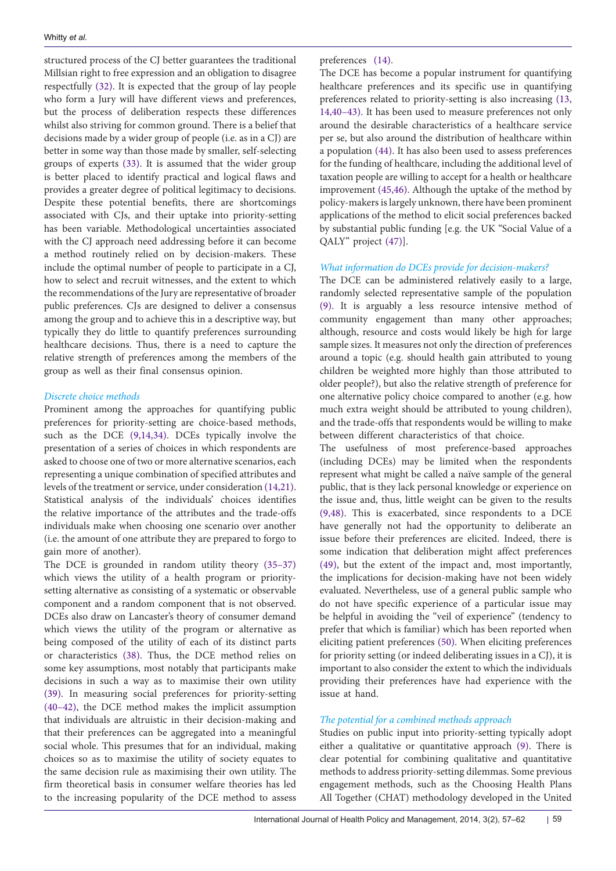structured process of the CJ better guarantees the traditional Millsian right to free expression and an obligation to disagree respectfully ([32](#page-4-25)). It is expected that the group of lay people who form a Jury will have different views and preferences, but the process of deliberation respects these differences whilst also striving for common ground. There is a belief that decisions made by a wider group of people (i.e. as in a CJ) are better in some way than those made by smaller, self-selecting groups of experts [\(33\)](#page-4-26). It is assumed that the wider group is better placed to identify practical and logical flaws and provides a greater degree of political legitimacy to decisions. Despite these potential benefits, there are shortcomings associated with CJs, and their uptake into priority-setting has been variable. Methodological uncertainties associated with the CJ approach need addressing before it can become a method routinely relied on by decision-makers. These include the optimal number of people to participate in a CJ, how to select and recruit witnesses, and the extent to which the recommendations of the Jury are representative of broader public preferences. CJs are designed to deliver a consensus among the group and to achieve this in a descriptive way, but typically they do little to quantify preferences surrounding healthcare decisions. Thus, there is a need to capture the relative strength of preferences among the members of the group as well as their final consensus opinion.

## *Discrete choice methods*

Prominent among the approaches for quantifying public preferences for priority-setting are choice-based methods, such as the DCE [\(9](#page-4-3)[,14,](#page-4-8)[34\)](#page-4-27). DCEs typically involve the presentation of a series of choices in which respondents are asked to choose one of two or more alternative scenarios, each representing a unique combination of specified attributes and levels of the treatment or service, under consideration [\(14,](#page-4-8)[21\)](#page-4-24). Statistical analysis of the individuals' choices identifies the relative importance of the attributes and the trade-offs individuals make when choosing one scenario over another (i.e. the amount of one attribute they are prepared to forgo to gain more of another).

The DCE is grounded in random utility theory [\(35](#page-4-28)[–37\)](#page-4-29) which views the utility of a health program or prioritysetting alternative as consisting of a systematic or observable component and a random component that is not observed. DCEs also draw on Lancaster's theory of consumer demand which views the utility of the program or alternative as being composed of the utility of each of its distinct parts or characteristics [\(38\)](#page-4-30). Thus, the DCE method relies on some key assumptions, most notably that participants make decisions in such a way as to maximise their own utility ([39\)](#page-4-31). In measuring social preferences for priority-setting ([40–](#page-4-32)[42](#page-5-0)), the DCE method makes the implicit assumption that individuals are altruistic in their decision-making and that their preferences can be aggregated into a meaningful social whole. This presumes that for an individual, making choices so as to maximise the utility of society equates to the same decision rule as maximising their own utility. The firm theoretical basis in consumer welfare theories has led to the increasing popularity of the DCE method to assess

preferences ([14](#page-4-8)).

The DCE has become a popular instrument for quantifying healthcare preferences and its specific use in quantifying preferences related to priority-setting is also increasing ([13](#page-4-7), [14,](#page-4-8)[40](#page-4-32)–[43](#page-5-1)). It has been used to measure preferences not only around the desirable characteristics of a healthcare service per se, but also around the distribution of healthcare within a population [\(44\)](#page-5-2). It has also been used to assess preferences for the funding of healthcare, including the additional level of taxation people are willing to accept for a health or healthcare improvement ([45](#page-5-3),[46](#page-5-4)). Although the uptake of the method by policy-makers is largely unknown, there have been prominent applications of the method to elicit social preferences backed by substantial public funding [e.g. the UK "Social Value of a QALY" project ([47](#page-5-5))].

# *What information do DCEs provide for decision-makers?*

The DCE can be administered relatively easily to a large, randomly selected representative sample of the population [\(9](#page-4-3)). It is arguably a less resource intensive method of community engagement than many other approaches; although, resource and costs would likely be high for large sample sizes. It measures not only the direction of preferences around a topic (e.g. should health gain attributed to young children be weighted more highly than those attributed to older people?), but also the relative strength of preference for one alternative policy choice compared to another (e.g. how much extra weight should be attributed to young children), and the trade-offs that respondents would be willing to make between different characteristics of that choice.

The usefulness of most preference-based approaches (including DCEs) may be limited when the respondents represent what might be called a naïve sample of the general public, that is they lack personal knowledge or experience on the issue and, thus, little weight can be given to the results [\(9](#page-4-3),[48](#page-5-6)). This is exacerbated, since respondents to a DCE have generally not had the opportunity to deliberate an issue before their preferences are elicited. Indeed, there is some indication that deliberation might affect preferences [\(49](#page-5-7)), but the extent of the impact and, most importantly, the implications for decision-making have not been widely evaluated. Nevertheless, use of a general public sample who do not have specific experience of a particular issue may be helpful in avoiding the "veil of experience" (tendency to prefer that which is familiar) which has been reported when eliciting patient preferences ([50](#page-5-8)). When eliciting preferences for priority setting (or indeed deliberating issues in a CJ), it is important to also consider the extent to which the individuals providing their preferences have had experience with the issue at hand.

# *The potential for a combined methods approach*

Studies on public input into priority-setting typically adopt either a qualitative or quantitative approach ([9\)](#page-4-3). There is clear potential for combining qualitative and quantitative methods to address priority-setting dilemmas. Some previous engagement methods, such as the Choosing Health Plans All Together (CHAT) methodology developed in the United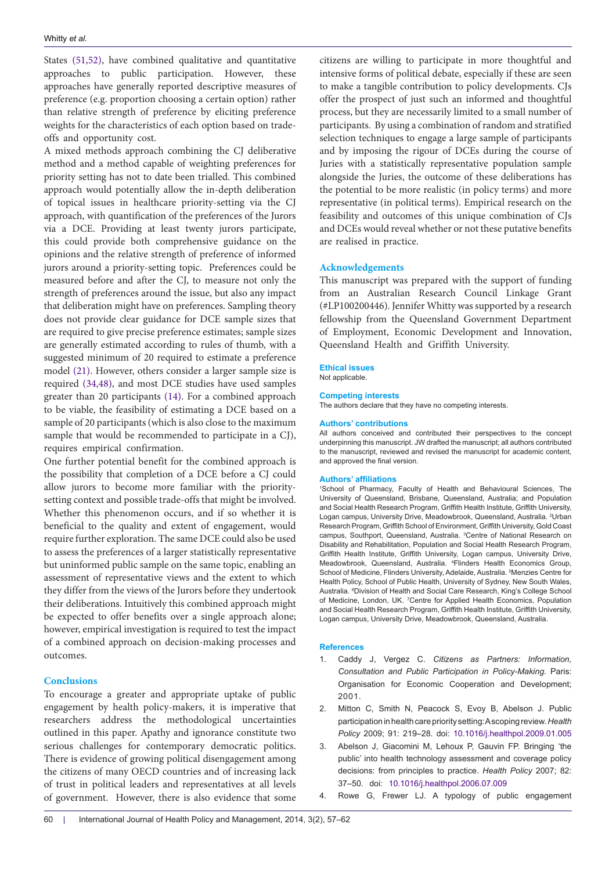States [\(51](#page-5-9)[,52\)](#page-5-10), have combined qualitative and quantitative approaches to public participation. However, these approaches have generally reported descriptive measures of preference (e.g. proportion choosing a certain option) rather than relative strength of preference by eliciting preference weights for the characteristics of each option based on tradeoffs and opportunity cost.

A mixed methods approach combining the CJ deliberative method and a method capable of weighting preferences for priority setting has not to date been trialled. This combined approach would potentially allow the in-depth deliberation of topical issues in healthcare priority-setting via the CJ approach, with quantification of the preferences of the Jurors via a DCE. Providing at least twenty jurors participate, this could provide both comprehensive guidance on the opinions and the relative strength of preference of informed jurors around a priority-setting topic. Preferences could be measured before and after the CJ, to measure not only the strength of preferences around the issue, but also any impact that deliberation might have on preferences. Sampling theory does not provide clear guidance for DCE sample sizes that are required to give precise preference estimates; sample sizes are generally estimated according to rules of thumb, with a suggested minimum of 20 required to estimate a preference model [\(21\)](#page-4-24). However, others consider a larger sample size is required [\(34](#page-4-27)[,48\)](#page-5-6), and most DCE studies have used samples greater than 20 participants [\(14\)](#page-4-8). For a combined approach to be viable, the feasibility of estimating a DCE based on a sample of 20 participants (which is also close to the maximum sample that would be recommended to participate in a CJ), requires empirical confirmation.

One further potential benefit for the combined approach is the possibility that completion of a DCE before a CJ could allow jurors to become more familiar with the prioritysetting context and possible trade-offs that might be involved. Whether this phenomenon occurs, and if so whether it is beneficial to the quality and extent of engagement, would require further exploration. The same DCE could also be used to assess the preferences of a larger statistically representative but uninformed public sample on the same topic, enabling an assessment of representative views and the extent to which they differ from the views of the Jurors before they undertook their deliberations. Intuitively this combined approach might be expected to offer benefits over a single approach alone; however, empirical investigation is required to test the impact of a combined approach on decision-making processes and outcomes.

## **Conclusions**

To encourage a greater and appropriate uptake of public engagement by health policy-makers, it is imperative that researchers address the methodological uncertainties outlined in this paper. Apathy and ignorance constitute two serious challenges for contemporary democratic politics. There is evidence of growing political disengagement among the citizens of many OECD countries and of increasing lack of trust in political leaders and representatives at all levels of government. However, there is also evidence that some

citizens are willing to participate in more thoughtful and intensive forms of political debate, especially if these are seen to make a tangible contribution to policy developments. CJs offer the prospect of just such an informed and thoughtful process, but they are necessarily limited to a small number of participants. By using a combination of random and stratified selection techniques to engage a large sample of participants and by imposing the rigour of DCEs during the course of Juries with a statistically representative population sample alongside the Juries, the outcome of these deliberations has the potential to be more realistic (in policy terms) and more representative (in political terms). Empirical research on the feasibility and outcomes of this unique combination of CJs and DCEs would reveal whether or not these putative benefits are realised in practice.

# **Acknowledgements**

This manuscript was prepared with the support of funding from an Australian Research Council Linkage Grant (#LP100200446). Jennifer Whitty was supported by a research fellowship from the Queensland Government Department of Employment, Economic Development and Innovation, Queensland Health and Griffith University.

### **Ethical issues**

Not applicable.

#### **Competing interests**

The authors declare that they have no competing interests.

#### **Authors' contributions**

All authors conceived and contributed their perspectives to the concept underpinning this manuscript. JW drafted the manuscript; all authors contributed to the manuscript, reviewed and revised the manuscript for academic content, and approved the final version.

#### **Authors' affiliations**

<span id="page-3-3"></span><span id="page-3-2"></span><span id="page-3-1"></span>1 School of Pharmacy, Faculty of Health and Behavioural Sciences, The University of Queensland, Brisbane, Queensland, Australia; and Population and Social Health Research Program, Griffith Health Institute, Griffith University, Logan campus, University Drive, Meadowbrook, Queensland, Australia. <sup>2</sup>Urban Research Program, Griffith School of Environment, Griffith University, Gold Coast campus, Southport, Queensland, Australia. <sup>3</sup> Centre of National Research on Disability and Rehabilitation, Population and Social Health Research Program, Griffith Health Institute, Griffith University, Logan campus, University Drive, Meadowbrook, Queensland, Australia. <sup>4</sup> Flinders Health Economics Group, School of Medicine, Flinders University, Adelaide, Australia. <sup>5</sup>Menzies Centre for Health Policy, School of Public Health, University of Sydney, New South Wales, Australia. <sup>6</sup> Division of Health and Social Care Research, King's College School of Medicine, London, UK. <sup>7</sup> Centre for Applied Health Economics, Population and Social Health Research Program, Griffith Health Institute, Griffith University, Logan campus, University Drive, Meadowbrook, Queensland, Australia.

#### <span id="page-3-6"></span><span id="page-3-5"></span><span id="page-3-4"></span>**References**

- <span id="page-3-0"></span>1. Caddy J, Vergez C. *Citizens as Partners: Information, Consultation and Public Participation in Policy-Making*. Paris: Organisation for Economic Cooperation and Development; 2001.
- <span id="page-3-7"></span>2. Mitton C, Smith N, Peacock S, Evoy B, Abelson J. Public participation in health care priority setting: A scoping review. *Health Policy* 2009; 91: 219–28. doi: 10.1016/j[.healthpol.2009.01.005](http://dx.doi.org/10.1016/j.healthpol.2009.01.005)
- <span id="page-3-8"></span>Abelson J, Giacomini M, Lehoux P, Gauvin FP. Bringing 'the public' into health technology assessment and coverage policy decisions: from principles to practice. *Health Policy* 2007; 82: 37–50. doi: [10.1016/j.healthpol.2006.07.009](http://dx.doi.org/10.1016/j.healthpol.2006.07.009)
- <span id="page-3-9"></span>4. Rowe G, Frewer LJ. A typology of public engagement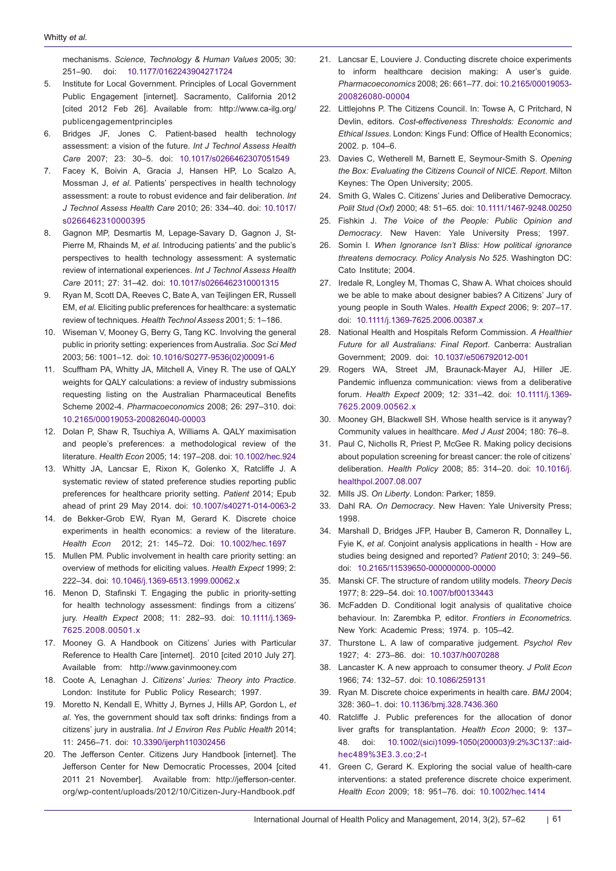<span id="page-4-0"></span>mechanisms. *Science, Technology & Human Values* 2005; 30: 251–90. doi: [10.1177/0162243904271724](http://dx.doi.org/10.1177/0162243904271724)

- 5. Institute for Local Government. Principles of Local Government Public Engagement [internet]. Sacramento, California 2012 [cited 2012 Feb 26]. Available from: [http://www.ca-ilg.org/](http://www.ca-ilg.org/publicengagementprinciples) [publicengagementprinciples](http://www.ca-ilg.org/publicengagementprinciples)
- <span id="page-4-1"></span>6. Bridges JF, Jones C. Patient-based health technology assessment: a vision of the future. *Int J Technol Assess Health Care* 2007; 23: 30–5. doi: 10.1017[/s0266462307051549](http://dx.doi.org/10.1017/s0266462307051549)
- 7. Facey K, Boivin A, Gracia J, Hansen HP, Lo Scalzo A, Mossman J, *et al*. Patients' perspectives in health technology assessment: a route to robust evidence and fair deliberation. *Int J Technol Assess Health Care* 2010; 26: 334–40. doi: [10.1017/](http://dx.doi.org/10.1017/s0266462310000395) [s0266462310000395](http://dx.doi.org/10.1017/s0266462310000395)
- <span id="page-4-2"></span>8. Gagnon MP, Desmartis M, Lepage-Savary D, Gagnon J, St-Pierre M, Rhainds M, *et al.* Introducing patients' and the public's perspectives to health technology assessment: A systematic review of international experiences. *Int J Technol Assess Health Care* 2011; 27: 31–42. doi: [10.1017/s0266462310001315](http://dx.doi.org/10.1017/s0266462310001315)
- <span id="page-4-3"></span>9. Ryan M, Scott DA, Reeves C, Bate A, van Teijlingen ER, Russell EM, *et al.* Eliciting public preferences for healthcare: a systematic review of techniques. *Health Technol Assess* 2001; 5: 1–186.
- <span id="page-4-4"></span>10. Wiseman V, Mooney G, Berry G, Tang KC. Involving the general public in priority setting: experiences from Australia. *Soc Sci Med* 2003; 56: 1001–12. doi: [10.1016/S0277-9536\(02\)00091-6](http://dx.doi.org/10.1016/S0277-9536(02)00091-6)
- <span id="page-4-5"></span>11. Scuffham PA, Whitty JA, Mitchell A, Viney R. The use of QALY weights for QALY calculations: a review of industry submissions requesting listing on the Australian Pharmaceutical Benefits Scheme 2002-4. *Pharmacoeconomics* 2008; 26: 297–310. doi: [10.2165/00019053-200826040-00003](http://dx.doi.org/10.2165/00019053-200826040-00003)
- <span id="page-4-6"></span>12. Dolan P, Shaw R, Tsuchiya A, Williams A. QALY maximisation and people's preferences: a methodological review of the literature. *Health Econ* 2005; 14: 197–208. doi: [10.1002/hec.924](http://dx.doi.org/10.1002/hec.924)
- <span id="page-4-7"></span>13. Whitty JA, Lancsar E, Rixon K, Golenko X, Ratcliffe J. A systematic review of stated preference studies reporting public preferences for healthcare priority setting. *Patient* 2014; Epub ahead of print 29 May 2014. doi: [10.1007/s40271-014-0063-2](http://dx.doi.org/10.1007/s40271-014-0063-2)
- <span id="page-4-8"></span>14. de Bekker-Grob EW, Ryan M, Gerard K. Discrete choice experiments in health economics: a review of the literature. *Health Econ* 2012; 21: 145–72. Doi: [10.1002/hec.1697](http://dx.doi.org/10.1002/hec.1697)
- <span id="page-4-9"></span>15. Mullen PM. Public involvement in health care priority setting: an overview of methods for eliciting values. *Health Expect* 1999; 2: 222–34. doi: [10.1046/j.1369-6513.1999.00062.x](http://dx.doi.org/10.1046/j.1369-6513.1999.00062.x)
- <span id="page-4-10"></span>16. Menon D, Stafinski T. Engaging the public in priority-setting for health technology assessment: findings from a citizens' jury. *Health Expect* 2008; 11: 282–93. doi: [10.1111/j.1369-](http://dx.doi.org/10.1111/j.1369-7625.2008.00501.x) [7625.2008.00501.x](http://dx.doi.org/10.1111/j.1369-7625.2008.00501.x)
- 17. Mooney G. A Handbook on Citizens' Juries with Particular Reference to Health Care [internet]. 2010 [cited 2010 July 27]. Available from: <http://www.gavinmooney.com>
- <span id="page-4-18"></span>18. Coote A, Lenaghan J. *Citizens' Juries: Theory into Practice*. London: Institute for Public Policy Research; 1997.
- <span id="page-4-11"></span>19. Moretto N, Kendall E, Whitty J, Byrnes J, Hills AP, Gordon L, *et al*. Yes, the government should tax soft drinks: findings from a citizens' jury in australia. *Int J Environ Res Public Health* 2014; 11: 2456–71. doi: [10.3390/ijerph110302456](http://dx.doi.org/10.3390/ijerph110302456)
- <span id="page-4-22"></span>20. The Jefferson Center. Citizens Jury Handbook [internet]. The Jefferson Center for New Democratic Processes, 2004 [cited 2011 21 November]. Available from: [http://jefferson-center.](http://jefferson-center.org/wp-content/uploads/2012/10/Citizen-Jury-Handbook.pdf) [org/wp-content/uploads/2012/10/Citizen-Jury-Handbook.pdf](http://jefferson-center.org/wp-content/uploads/2012/10/Citizen-Jury-Handbook.pdf)
- <span id="page-4-24"></span>21. Lancsar E, Louviere J. Conducting discrete choice experiments to inform healthcare decision making: A user's guide. *Pharmacoeconomics* 2008; 26: 661–77. doi: [10.2165/00019053-](http://dx.doi.org/10.2165/00019053-200826080-00004) [200826080-00004](http://dx.doi.org/10.2165/00019053-200826080-00004)
- <span id="page-4-23"></span>22. Littlejohns P. The Citizens Council. In: Towse A, C Pritchard, N Devlin, editors. *Cost-effectiveness Thresholds: Economic and Ethical Issues*. London: Kings Fund: Office of Health Economics; 2002. p. 104–6.
- <span id="page-4-15"></span>23. Davies C, Wetherell M, Barnett E, Seymour-Smith S. *Opening the Box: Evaluating the Citizens Council of NICE. Report*. Milton Keynes: The Open University; 2005.
- <span id="page-4-12"></span>24. Smith G, Wales C. Citizens' Juries and Deliberative Democracy. *Polit Stud (Oxf)* 2000; 48: 51–65. doi: [10.1111/1467-9248.00250](http://dx.doi.org/10.1111/1467-9248.00250)
- <span id="page-4-13"></span>25. Fishkin J. *The Voice of the People: Public Opinion and Democracy*. New Haven: Yale University Press; 1997.
- <span id="page-4-14"></span>26. Somin I. *When Ignorance Isn't Bliss: How political ignorance threatens democracy. Policy Analysis No 525*. Washington DC: Cato Institute; 2004.
- <span id="page-4-16"></span>27. Iredale R, Longley M, Thomas C, Shaw A. What choices should we be able to make about designer babies? A Citizens' Jury of young people in South Wales. *Health Expect* 2006; 9: 207–17. doi: [10.1111/j.1369-7625.2006.00387.x](http://dx.doi.org/10.1111/j.1369-7625.2006.00387.x)
- <span id="page-4-17"></span>28. National Health and Hospitals Reform Commission. *A Healthier Future for all Australians: Final Report*. Canberra: Australian Government; 2009. doi: [10.1037/e506792012-001](http://dx.doi.org/10.1037/e506792012-001)
- <span id="page-4-19"></span>29. Rogers WA, Street JM, Braunack-Mayer AJ, Hiller JE. Pandemic influenza communication: views from a deliberative forum. *Health Expect* 2009; 12: 331–42. doi: [10.1111/j.1369-](http://dx.doi.org/10.1111/j.1369-7625.2009.00562.x) [7625.2009.00562.x](http://dx.doi.org/10.1111/j.1369-7625.2009.00562.x)
- <span id="page-4-20"></span>30. Mooney GH, Blackwell SH. Whose health service is it anyway? Community values in healthcare. *Med J Aust* 2004; 180: 76–8.
- <span id="page-4-21"></span>31. Paul C, Nicholls R, Priest P, McGee R. Making policy decisions about population screening for breast cancer: the role of citizens' deliberation. *Health Policy* 2008; 85: 314–20. doi: [10.1016/j.](http://dx.doi.org/10.1016/j.healthpol.2007.08.007) [healthpol.2007.08.007](http://dx.doi.org/10.1016/j.healthpol.2007.08.007)
- <span id="page-4-25"></span>32. Mills JS. *On Liberty*. London: Parker; 1859.
- <span id="page-4-26"></span>33. Dahl RA. *On Democracy*. New Haven: Yale University Press; 1998.
- <span id="page-4-27"></span>34. Marshall D, Bridges JFP, Hauber B, Cameron R, Donnalley L, Fyie K, *et al*. Conjoint analysis applications in health - How are studies being designed and reported? *Patient* 2010; 3: 249–56. doi: [10.2165/11539650-000000000-00000](http://dx.doi.org/10.2165/11539650-000000000-00000)
- <span id="page-4-28"></span>35. Manski CF. The structure of random utility models. *Theory Decis* 1977; 8: 229–54. doi: [10.1007/bf00133443](http://dx.doi.org/10.1007/bf00133443)
- 36. McFadden D. Conditional logit analysis of qualitative choice behaviour. In: Zarembka P, editor*. Frontiers in Econometrics.* New York: Academic Press; 1974. p. 105–42.
- <span id="page-4-29"></span>37. Thurstone L. A law of comparative judgement. *Psychol Rev* 1927; 4: 273–86. doi: [10.1037/h0070288](http://dx.doi.org/10.1037/h0070288)
- <span id="page-4-30"></span>38. Lancaster K. A new approach to consumer theory. *J Polit Econ* 1966; 74: 132–57. doi: [10.1086/259131](http://dx.doi.org/10.1086/259131)
- <span id="page-4-31"></span>39. Ryan M. Discrete choice experiments in health care. *BMJ* 2004; 328: 360–1. doi: [10.1136/bmj.328.7436.360](http://dx.doi.org/10.1136/bmj.328.7436.360)
- <span id="page-4-32"></span>40. Ratcliffe J. Public preferences for the allocation of donor liver grafts for transplantation. *Health Econ* 2000; 9: 137– 48. doi: [10.1002/\(sici\)1099-1050\(200003\)9:2%3C137::aid](http://dx.doi.org/10.1002/(sici)1099-1050(200003)9:2%3C137::aid-hec489%3E3.3.co;2-t)[hec489%3E3.3.co;2-t](http://dx.doi.org/10.1002/(sici)1099-1050(200003)9:2%3C137::aid-hec489%3E3.3.co;2-t)
- 41. Green C, Gerard K. Exploring the social value of health-care interventions: a stated preference discrete choice experiment. *Health Econ* 2009; 18: 951–76. doi: [10.1002/hec.1414](http://dx.doi.org/10.1002/hec.1414)